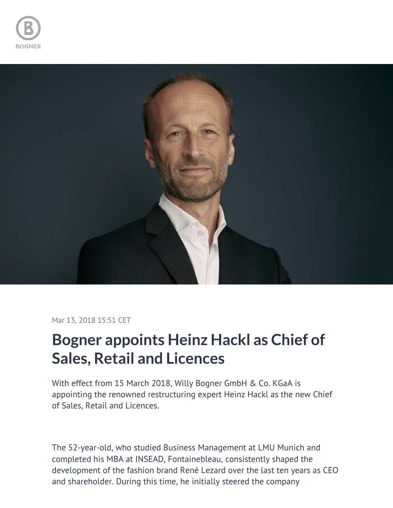



## Mar 13, 2018 15:51 CET

## **Bogner appoints Heinz Hackl as Chief of Sales, Retail and Licences**

With effect from 15 March 2018, Willy Bogner GmbH & Co. KGaA is appointing the renowned restructuring expert Heinz Hackl as the new Chief of Sales, Retail and Licences.

The 52-year-old, who studied Business Management at LMU Munich and completed his MBA at INSEAD, Fontainebleau, consistently shaped the development of the fashion brand René Lezard over the last ten years as CEO and shareholder. During this time, he initially steered the company